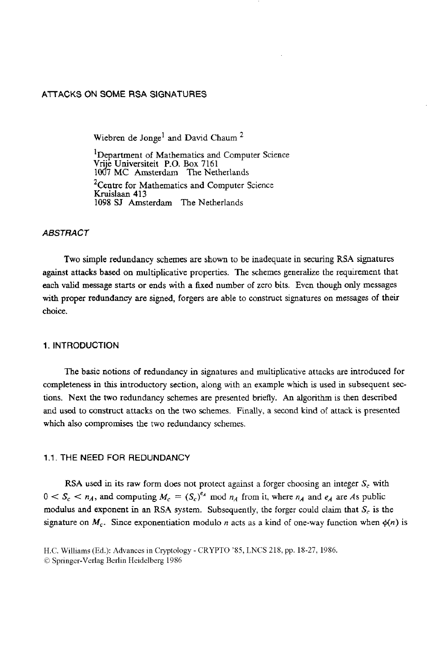# **AlTACKS ON** SOME **RSA SlGNATURES**

Wiebren de Jonge<sup>1</sup> and David Chaum<sup>2</sup>

'Department of Mathematics and Computer Science Vn'e Universiteit **P.O. Box** 7161 1Od7 **MC** Amsterdam **The** Netherlands <sup>2</sup>Centre for Mathematics and Computer Science Kruislaan 413 1098 *SJ* Amsterdam The Netherlands

# *ABSTRACT*

Two simple redundancy schemes are shown to be inadequate in securing **RSA** signatures against attacks **based** on multiplicative properties. The schemes generalize the requirement that each valid message **starts** or ends with **a** fixed number of zero bits. Even **though** only messages with proper redundancy are signed, forgers are able to construct signatures on messages of their choice.

# **1. INTRODUCTION**

The basic notions of redundancy in signatures and multiplicative attacks are introduced for completeness in this introductory section, along with an example which is used in subsequent sections. Next the **two** redundancy schemes are presented briefly. **An** algorithm is then described **and** used to construct attacks on the two schemes. Finally, a second kind of attack is presented **which** also compromises the two redundancy schemes.

# **1.1.** THE **NEED** FOR **REDUNDANCY**

**RSA** used in its raw form does not protect against a forger choosing **an** integer *S,* with  $0 < S_c < n_A$ , and computing  $M_c = (S_c)^{e_A}$  mod  $n_A$  from it, where  $n_A$  and  $e_A$  are *As* public modulus and exponent in an **RSA** system. Subsequently, **the** forger could claim that *S,* is the signature on  $M_c$ . Since exponentiation modulo *n* acts as a kind of one-way function when  $\phi(n)$  is

H.C. Williams (Ed.): Advances in Cryptology - CRYPT0 *'85,* LNCS 218, pp. 18-27, 1986. *0* Springer-Verlag Berlin Heidelberg 1986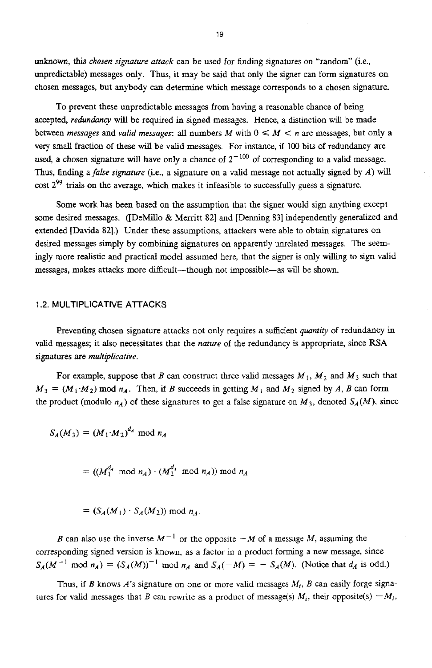unknown, this *chosen signature attack* can be used for finding signatures on "random" (ie., unpredictable) messages only. Thus, it may be said that only the signer can form signatures on chosen messages, but anybody can determine which message corresponds to a chosen signature.

To prevent these unpredictable messages from having a reasonable chance of being accepted, *redundancy* will be required in signed messages. Hence, a distinction will be made between *messages* and *valid messages*: all numbers *M* with  $0 \leq M \leq n$  are messages, but only a very small fraction of **these** wiU be valid messages. For instance, if 100 bits **of** redundancy are used, a chosen signature will have only a chance of  $2^{-100}$  of corresponding to a valid message. Thus, Ending *afufse signuture* (ie., a signature on a valid message not actually signed by *A)* will cost **Z9'** trials **on** the average, which makes it infeasible to successfully guess a signature.

Some work has been based on the assumption that the signer would sign anything except some desired messages. ([DeMillo & Merritt 82] and [Denning 83] independently generalized and extended [Davida 821.) Under these assumptions, attackers were able to obtain signatures on desired messages simply by combining signatures on apparently unrelated messages. The seemingly more realistic and practical model assumed here, that the signer is only willing to sign valid messages, makes attacks more difficult-though not impossible-as will be shown.

## 1.2. **MULTIPLICATIVE ATTACKS**

Preventing chosen signature attacks not only requires a sufficient *quantity* of redundancy in valid messages; it **also** necessitates that the *nature* of the redundancy is appropriate, since **RSA**  sipatures are *multiplicative.* 

For example, suppose that *B* can construct three valid messages  $M_1$ ,  $M_2$  and  $M_3$  such that  $M_3 = (M_1 \cdot M_2) \text{ mod } n_A$ . Then, if *B* succeeds in getting  $M_1$  and  $M_2$  signed by *A, B* can form the product (modulo  $n_A$ ) of these signatures to get a false signature on  $M_3$ , denoted  $S_A(M)$ , since

$$
S_A(M_3) = (M_1 \cdot M_2)^{d_A} \bmod n_A
$$

 $= ((M_1^{d_A} \mod n_A) \cdot (M_2^{d_A} \mod n_A)) \mod n_A$ 

$$
= (S_A(M_1) \cdot S_A(M_2)) \bmod n_A.
$$

*B* can also use the inverse  $M^{-1}$  or the opposite  $-M$  of a message *M*, assuming the corresponding signed version is known, as a factor in a product forming a new message, since  $S_A(M^{-1} \text{ mod } n_A) = (S_A(M))^{-1} \text{ mod } n_A$  and  $S_A(-M) = -S_A(M)$ . (Notice that  $d_A$  is odd.)

Thus, if *B* knows *A's* signature on one or more valid messages *M,, B* can easily **forge** signatures for valid messages that *B* can rewrite as a product of message(s)  $M_i$ , their opposite(s)  $-M_i$ ,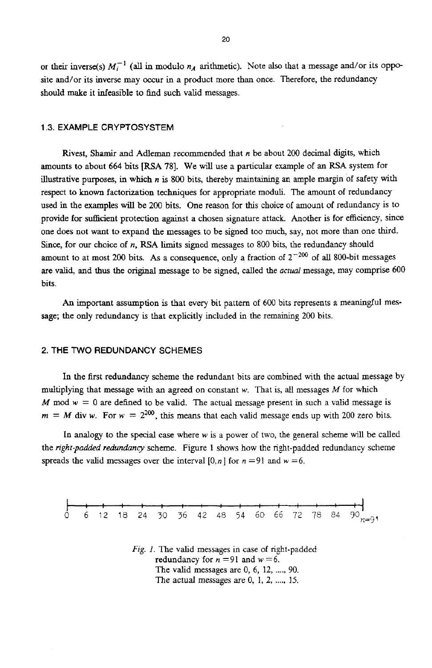or their inverse(s)  $M_i^{-1}$  (all in modulo  $n_A$  arithmetic). Note also that a message and/or its opposite and/or its inverse may **occur** in a product more than once. Therefore, the redundancy should make it infeasible to find such valid messages.

## **1.3. EXAMPLE CRYPTOSYSTEM**

Rivest, Shamir and **Adleman** recommended that *n* be about *200* decimal digits, which amounts to about 664 bits **[RSA 781.** We will use a particular example of **an RSA** system **for**  illustrative purposes, **in which** *n* is **800** bits, thereby maintaining **an** ample margin of safety with respect to known factorization techniques for appropriate moduli. The amount of redundancy **used** in the examples will be *200* bits. One reason for this choice of amount of redundancy is to provide for sufficient protection against a chosen signature attack. Another is for efficiency, since one does not want to expand the messages to be signed too much, say, not more than one third. Since, for **our** choice of *n,* **RSA** limits signed messages to 800 bits, the redundancy should amount to at most 200 bits. As a consequence, only a fraction of  $2^{-200}$  of all 800-bit messages **are valid,** and **thus** the original message to be signed, called the actual message, may comprise *600*  bits.

**An** important assumption is that every bit pattern of 600 bits represents a meaningful message; the only redundancy is that explicitly included in **the** remaining *200* bits.

### **2. THE** TWO **REDUNDANCY SCHEMES**

In the first redundancy scheme the redundant bits are combined with the actual message by multiplying that message with an agreed on constant *w.* That is. all messages *M* for which *M* mod  $w = 0$  are defined to be valid. The actual message present in such a valid message is  $m = M$  div *w*. For  $w = 2^{200}$ , this means that each valid message ends up with 200 zero bits.

In analogy **to** the **special** *case* where *w* is a power of two, the general scheme will be called the *right-padded redundancy* scheme. Figure I shows how the right-padded redundancy scheme spreads the valid messages over the interval  $[0, n]$  for  $n = 91$  and  $w = 6$ .



*Fig. 1.* The valid messages in case of right-padded redundancy for  $n = 91$  and  $w = 6$ . The valid messages are 0, 6, **12,** ...., 90. The actual messages *are* 0, 1, **2,** ...., 15.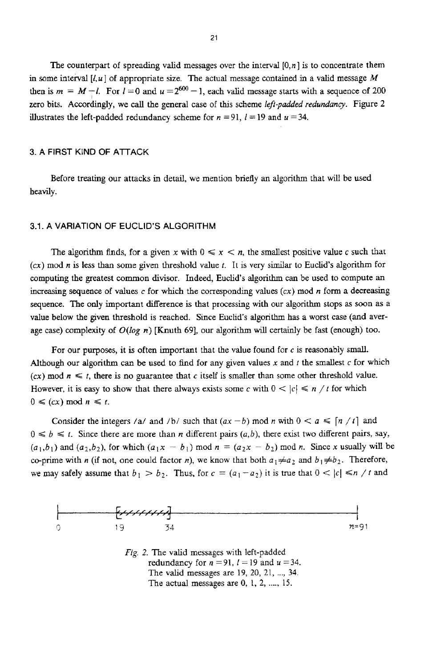The counterpart of spreading valid messages over the interval *[O,n]* is to concentrate them in some interval  $[l, u]$  of appropriate size. The actual message contained in a valid message  $M$ **then is**  $m = M - l$ **. For**  $l = 0$  **and**  $u = 2^{600} - 1$ **, each valid message starts with a sequence of 200** zero bits. Accordingly, we call the general case of this scheme *left-padded redundancy*. Figure 2 illustrates the left-padded redundancy scheme for  $n = 91$ ,  $l = 19$  and  $u = 34$ .

#### **3. A** FIRST KIND **OF ATTACK**

Before treating our attacks in detail, we mention briefly an algorithm that wil! be used heavily.

# **3.1. A VARIATION OF** EUCLID'S ALGORITHM

The algorithm finds, for a given x with  $0 \le x \le n$ , the smallest positive value c such that **(cx)** mod *n* is less **than** some given threshold value *t.* It is very similar to Euclid's algorithm for computing the greatest common divisor. Indeed, Euclid's algorithm can be used to compute **an**  increasing sequence of values  $c$  for which the corresponding values  $(cx)$  mod *n* form a decreasing sequence. The **only** important difference **is** that processing with our algorithm stops as **soon** as a value below the given threshold **is** reached. Since Euclid's algorithm has a worst case (and average case) complexity of  $O(log n)$  [Knuth 69], our algorithm will certainly be fast (enough) too.

For our purposes, it is often important that the value found for  $c$  is reasonably small. Although our algorithm can be used to find for any given values **x** and *t* the smallest c for which  $(cx) \mod n \leq t$ , there is no guarantee that c itself is smaller than some other threshold value. However, it is easy to show that there always exists some *c* with  $0 < |c| \le n / t$  for which  $0 \leqslant (cx) \mod n \leqslant t$ .

Consider the integers /a/ and /b/ such that  $(ax - b)$  mod *n* with  $0 < a \leq \lceil n / t \rceil$  and  $0 \leq b \leq t$ . Since there are more than *n* different pairs  $(a, b)$ , there exist two different pairs, say,  $(a_1,b_1)$  and  $(a_2,b_2)$ , for which  $(a_1x - b_1)$  mod  $n = (a_2x - b_2)$  mod *n*. Since *x* usually will be co-prime with *n* (if not, one could factor *n*), we know that both  $a_1 \neq a_2$  and  $b_1 \neq b_2$ . Therefore, we may safely assume that  $b_1 > b_2$ . Thus, for  $c = (a_1 - a_2)$  it is true that  $0 < |c| \le n / t$  and



*Fig. 2.* The valid messages with left-padded redundancy for  $n = 91$ ,  $l = 19$  and  $u = 34$ . The valid messages are 19, 20, 21, ..., 34. The actual messages are  $0, 1, 2, \ldots, 15$ .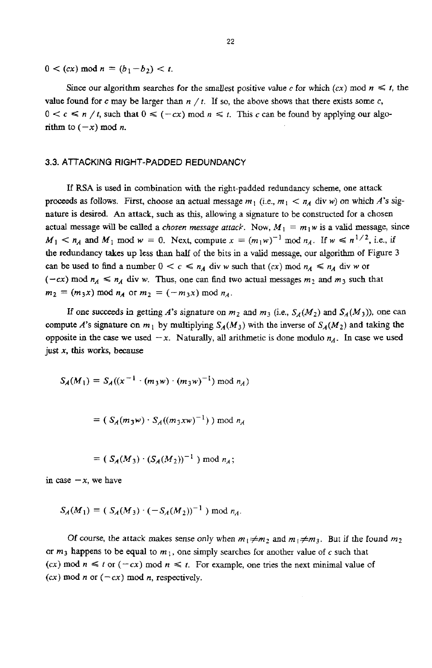$0 < (cx) \mod n = (b_1 - b_2) < t.$ 

Since our algorithm searches for the smallest positive value c for which  $(cx)$  mod  $n \leq t$ , the value found for *c* may be larger than  $n / t$ . If so, the above shows that there exists some *c*,  $0 < c \le n / t$ , such that  $0 \le (-cx) \mod n \le t$ . This *c* can be found by applying our algorithm to  $(-x)$  mod *n*.

## **3.3.** ATTACKING RIGHT-PADDED REDUNDANCY

If **RSA** is used **in** combination with the right-padded redundancy scheme, one attack **proceeds as follows.** First, choose an actual message  $m_1$  (i.e.,  $m_1 < n_A$  div *w*) on which *A*'s signature **is** desired. *An* attack, such **as** this, allowing a signature to be constructed for a chosen actual message will be called a *chosen message attack*. Now,  $M_1 = m_1 w$  is a valid message, since  $M_1 \le n_A$  and  $M_1$  mod  $w = 0$ . Next, compute  $x = (m_1w)^{-1}$  mod  $n_A$ . If  $w \le n^{1/2}$ , i.e., if **the** redundancy takes up **less than half** of the bits in a valid message, our algorithm of Figure 3  $c$  can be used to find a number  $0 < c \le n_A$  div *w* such that  $(cx)$  mod  $n_A \le n_A$  div *w* or  $(-cx)$  mod  $n_A \le n_A$  div *w*. Thus, one can find two actual messages  $m_2$  and  $m_3$  such that  $m_2 = (m_3x) \bmod n_A$  or  $m_2 = (-m_3x) \bmod n_A$ .

If one succeeds in getting *A*'s signature on  $m_2$  and  $m_3$  (i.e.,  $S_A(M_2)$  and  $S_A(M_3)$ ), one can compute *A*'s signature on  $m_1$  by multiplying  $S_A(M_3)$  with the inverse of  $S_A(M_2)$  and taking the opposite in the case we used  $-x$ . Naturally, all arithmetic is done modulo  $n_A$ . In case we used just *x,* **this works,** because

$$
S_A(M_1) = S_A((x^{-1} \cdot (m_3 w) \cdot (m_3 w)^{-1}) \bmod n_A)
$$

$$
= (S_A(m_3w) \cdot S_A((m_3xw)^{-1})) \bmod n_A
$$

$$
= (S_A(M_3) \cdot (S_A(M_2))^{-1}) \bmod n_A;
$$

in case  $-x$ , we have

$$
S_A(M_1) = (S_A(M_3) \cdot (-S_A(M_2))^{-1}) \bmod n_A.
$$

Of course, the attack makes sense only when  $m_1 \neq m_2$  and  $m_1 \neq m_3$ . But if the found  $m_2$ or  $m_3$  happens to be equal to  $m_1$ , one simply searches for another value of c such that  $(cx) \text{ mod } n \leq t \text{ or } (-cx) \text{ mod } n \leq t$ . For example, one tries the next minimal value of  $(cx) \mod n$  or  $(-cx) \mod n$ , respectively.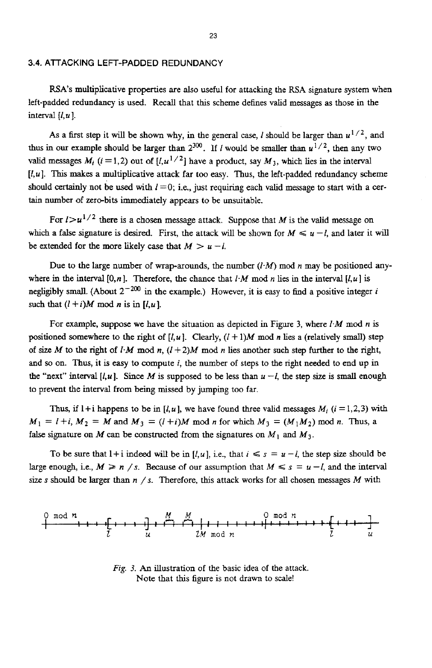#### **3.4. ATTACKING LEFT-PADDED REDUNDANCY**

RSA's multiplicative properties are also useful for attacking the **RSA** signature system when left-padded redundancy is used. **Recall** that this scheme defines valid messages **as** those in the interval  $[l, u]$ .

As a first step it will be shown why, in the general case, *I* should be larger than  $u^{1/2}$ , and thus in our example should be larger than  $2^{300}$ . If *I* would be smaller than  $u^{1/2}$ , then any two valid messages  $M_i$  ( $i = 1,2$ ) out of  $[i, u^{1/2}]$  have a product, say  $M_3$ , which lies in the interval  $[t, u]$ . This makes a multiplicative attack far too easy. Thus, the left-padded redundancy scheme should certainly not be used with  $l = 0$ ; i.e., just requiring each valid message to start with a certain number of zero-bits immediately appears to be unsuitable.

For  $l > u^{1/2}$  there is a chosen message attack. Suppose that *M* is the valid message on which a false signature is desired. First, the attack will be shown for  $M \leq u - l$ , and later it will be extended for the more likely case that  $M > u - l$ .

Due to the large number of wrap-arounds, the number  $(l \cdot M)$  mod *n* may be positioned anywhere in the interval  $[0, n]$ . Therefore, the chance that  $l \cdot M$  mod *n* lies in the interval  $[l, u]$  is negligibly small. (About  $2^{-200}$  in the example.) However, it is easy to find a positive integer *i* such that  $(l + i)M \mod n$  is in  $[l, u]$ .

For example, **suppose** we have the situation as depicted in Figure 3, where *1.M* mod *n* **is**  positioned somewhere to the right of  $[l, u]$ . Clearly,  $(l + 1)M$  mod *n* lies a (relatively small) step of size *M* to the right of *I-M* mod *n*,  $(l+2)M$  mod *n* lies another such step further to the right, and *so* on. **Thus,** it is easy to compute *i,* the number of steps to the right needed to end up in the "next" interval  $[i, u]$ . Since *M* is supposed to be less than  $u - l$ , the step size is small enough to prevent the interval from being missed by jumping too **far.** 

Thus, if  $l + i$  happens to be in  $[l, u]$ , we have found three valid messages  $M_i$   $(i = 1, 2, 3)$  with  $M_1 = l + i$ ,  $M_2 = M$  and  $M_3 = (l + i)M$  mod *n* for which  $M_3 = (M_1 M_2)$  mod *n*. Thus, a false signature on *M* can be constructed from the signatures on  $M_1$  and  $M_3$ .

To be sure that  $1+i$  indeed will be in  $[i, u]$ , i.e., that  $i \leq s = u - i$ , the step size should be large enough, i.e.,  $M \ge n / s$ . Because of our assumption that  $M \le s = u - l$ , and the interval *size* **s** should be **larger** than *n* / **s.** Therefore, **this** attack works for all chosen messages *M* with



*Fig.* 3. *An* illustration **of** the basic idea of the attack. Note that this figure is not drawn to scale!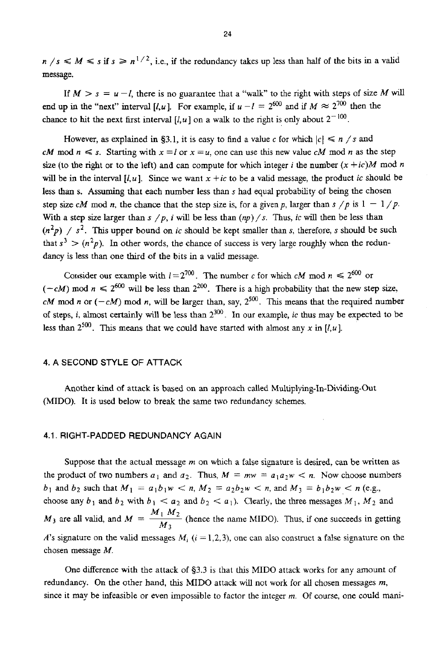$n / s \le M \le s$  if  $s \ge n^{1/2}$ , i.e., if the redundancy takes up less than half of the bits in a valid message.

If  $M > s = u - l$ , there is no guarantee that a "walk" to the right with steps of size M will end up in the "next" interval [*l,u*]. For example, if  $u - l = 2^{600}$  and if  $M \approx 2^{700}$  then the chance to hit the next first interval  $[I, u]$  on a walk to the right is only about  $2^{-100}$ .

However, as explained in §3.1, it is easy to find a value *c* for which  $|c| \le n$  /s and *CM* mod  $n \leq s$ . Starting with  $x = l$  or  $x = u$ , one can use this new value *cM* mod *n* as the step size (to the right or to the left) and can compute for which integer *i* the number  $(x + ic)M$  mod *n* will be in the interval  $[I, u]$ . Since we want  $x + ic$  to be a valid message, the product *ic* should be less than s. **Assuming** that each number less than **s** had **equal** probability of being the chosen step size *cM* mod *n*, the chance that the step size is, for a given *p*, larger than  $s / p$  is  $1 - 1 / p$ . With a step size larger than  $s / p$ , *i* will be less than  $(np) / s$ . Thus, *ic* will then be less than  $(n^2p)$  /  $s^2$ . This upper bound on *ic* should be kept smaller than *s*, therefore, *s* should be such that  $s^3 > (n^2p)$ . In other words, the chance of success is very large roughly when the redundancy is less than one **third** of the **bits** in a valid message.

Consider our example with  $I = 2^{700}$ . The number *c* for which *cM* mod  $n \le 2^{600}$  or  $(-cM)$  mod  $n \le 2^{600}$  will be less than  $2^{200}$ . There is a high probability that the new step size, *cM* mod *n* or  $(-cM)$  mod *n*, will be larger than, say,  $2^{500}$ . This means that the required number of steps, *i*, almost certainly will be less than  $2^{300}$ . In our example, *ic* thus may be expected to be less than  $2^{500}$ . This means that we could have started with almost any x in  $\left[l, u\right]$ .

## **4. A SECOND STYLE** OF **ATTACK**

Another **kind** of **attack** is based on **an** approach called Multiplymg-In-Dividing-Out (MIDO). It is used below to break the same two redundancy schemes.

# **4.1. RIGHT-PADDED REDUNDANCY AGAIN**

Suppose that the actual message *rn* on which a false signature is desired, can be written **as**  the product of two numbers  $a_1$  and  $a_2$ . Thus,  $M = mw = a_1 a_2 w < n$ . Now choose numbers *b*<sub>1</sub> and *b*<sub>2</sub> such that  $M_1 = a_1b_1w < n$ ,  $M_2 = a_2b_2w < n$ , and  $M_3 = b_1b_2w < n$  (e.g., choose any  $b_1$  and  $b_2$  with  $b_1 < a_2$  and  $b_2 < a_1$ ). Clearly, the three messages  $M_1, M_2$  and  $M_3$  are all valid, and  $M = \frac{M_1 M_2}{M_3}$  (hence the name MIDO). Thus, if one succeeds in getting *A*'s signature on the valid messages  $M_i$  ( $i = 1,2,3$ ), one can also construct a false signature on the chosen message *M.* 

One difference with the attack of \$3.3 **is** that this MIDO attack works for any amount of redundancy. On the other hand, this MIDO attack will not **work** for all chosen messages *rn,*  since it may be infeasible or even impossible to factor **the** integer *rn.* Of course, one could mani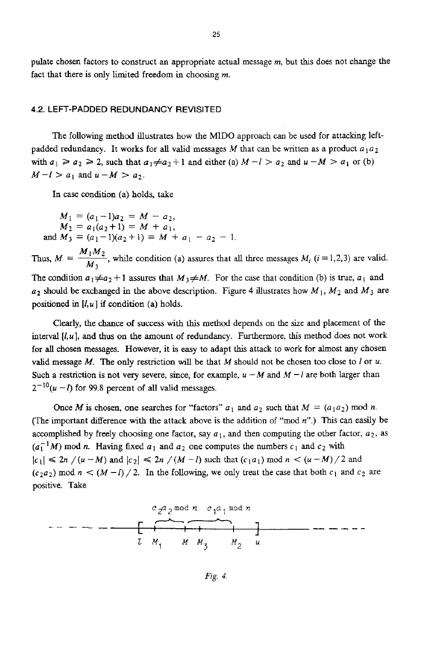pulate chosen factors to construct an appropriate actual message *m,* but this does not change the fact that there **is** only limited freedom in choosing *m.* 

#### **4.2. LEFT-PADDED REDUNDANCY REVISITED**

The following methd illustrates how the MID0 approach can be used for attacking leftpadded redundancy. It works for all valid messages  $M$  that can be written as a product  $a_1 a_2$ with  $a_1 \ge a_2 \ge 2$ , such that  $a_1 \ne a_2+1$  and either (a)  $M-l > a_2$  and  $u-M > a_1$  or (b)  $M-l > a_1$  and  $u-M > a_2$ .

In case condition (a) holds, take

 $M_1 = (a_1-1)a_2 = M - a_2,$  $M_2 = a_1(a_2+1) = M + a_1,$ <br>
and  $M_3 = (a_1-1)(a_2+1) = M + a_1 - a_2 - 1$ 

In case condition (a) holds, take<br>  $M_1 = (a_1 - 1)a_2 = M - a_2$ ,<br>  $M_2 = a_1(a_2 + 1) = M + a_1$ ,<br>
and  $M_3 = (a_1 - 1)(a_2 + 1) = M + a_1 - a_2 - 1$ .<br>
Thus,  $M = \frac{M_1 M_2}{M_3}$ , while condition (a) assures that all three messages  $M_i$  (*i* = 1,2,3 *M3* 

The condition  $a_1 \neq a_2 + 1$  assures that  $M_3 \neq M$ . For the case that condition (b) is true,  $a_1$  and  $u_2$  should be exchanged in the above description. Figure 4 illustrates how  $M_1$ ,  $M_2$  and  $M_3$  are positioned **in** *[l,u]* if condition (a) holds.

Clearly, the chance of success with this method depends on **the** *size* and placement of **the**  interval *[Su],* and **thus** on the amount of redundancy. Furthermore, this method does not **work**  for all chosen messages. However, it **is** easy to adapt this attack to work for almost any chosen valid message *M.* The only restriction will be that *M* should not be chosen too close to *I* or *u.*  Such a restriction is not very severe, since, for example,  $u - M$  and  $M - l$  are both larger than  $2^{-10}(u - l)$  for 99.8 percent of all valid messages.

Once *M* is chosen, one searches for "factors"  $a_1$  and  $a_2$  such that  $M = (a_1 a_2) \text{ mod } n$ . (The important difference with the attack above is the addition of **"mod** *n".)* **This** can easily be accomplished by freely choosing one factor, say  $a_1$ , and then computing the other factor,  $a_2$ , as  $(a_1^{-1}M)$  mod *n*. Having fixed  $a_1$  and  $a_2$  one computes the numbers  $c_1$  and  $c_2$  with  $|c_1| \le 2n$  /( $u - M$ ) and  $|c_2| \le 2n$  /( $M - l$ ) such that ( $c_1 a_1$ ) mod  $n < (u - M)/2$  and  $(c_2a_2)$  mod  $n < (M-l)/2$ . In the following, we only treat the case that both  $c_1$  and  $c_2$  are positive. Take



*Fig. 4.*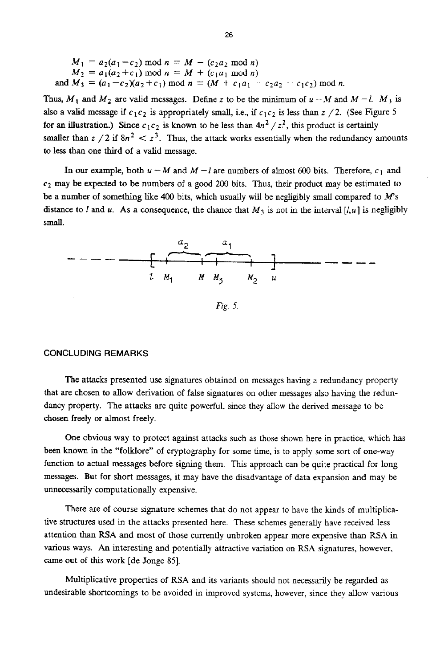$$
M_1 = a_2(a_1 - c_2) \mod n = M - (c_2 a_2 \mod n)
$$
  
\n
$$
M_2 = a_1(a_2 + c_1) \mod n = M + (c_1 a_1 \mod n)
$$
  
\nand 
$$
M_3 = (a_1 - c_2)(a_2 + c_1) \mod n = (M + c_1 a_1 - c_2 a_2 - c_1 c_2) \mod n.
$$

Thus,  $M_1$  and  $M_2$  are valid messages. Define z to be the minimum of  $u - M$  and  $M - l$ .  $M_3$  is also a valid message if  $c_1c_2$  is appropriately small, i.e., if  $c_1c_2$  is less than  $z/2$ . (See Figure 5 for an illustration.) Since  $c_1c_2$  is known to be less than  $4n^2 / z^2$ , this product is certainly smaller than  $z / 2$  if  $8n^2 < z^3$ . Thus, the attack works essentially when the redundancy amounts to less than one **third** of a valid message.

In our example, both  $u - M$  and  $M - l$  are numbers of almost 600 bits. Therefore,  $c_1$  and *c2* may be expected *to* be numbers of a good *200* bits. Thus, their product may be estimated to be a number of something **like 400** bits, which usually will be negligibly small compared to *M's*  distance to *I* and *u*. As a consequence, the chance that  $M_3$  is not in the interval  $[l, u]$  is negligibly small.



## **CONCLUDING REMARKS**

The attacks presented use signatures obtained on messages having a redundancy property that are chosen to allow derivation of false signatures on other messages also having the **redun**dancy property. The attacks are quite powerful, since they allow the derived message to be chosen freely or almost freely.

One obvious way to protect against attacks such as those shown here in practice, which has been known in the "folklore" of cryptography for some time, is to apply some sort of one-way function to actual messages before signing them. This approach can be quite practical for long messages. But for short messages, it may have the disadvantage of data expansion and may be unnecessarily computationally expensive.

There are of course signature schemes that do not appear to have the kinds of multiplicative structures **used** in the attacks presented here. These schemes generally have received less attention than **MA and** most of those currently unbroken appear more expensive than RSA in various ways. **An** interesting and potentially attractive variation on **RSA** signatures, however, came **out of** *this* work [de Jonge **851.** 

Multiplicative properties of **RSA** and its variants should not necessarily be regarded as undesirable shortcomings to be avoided in improved systems, however, since they allow various